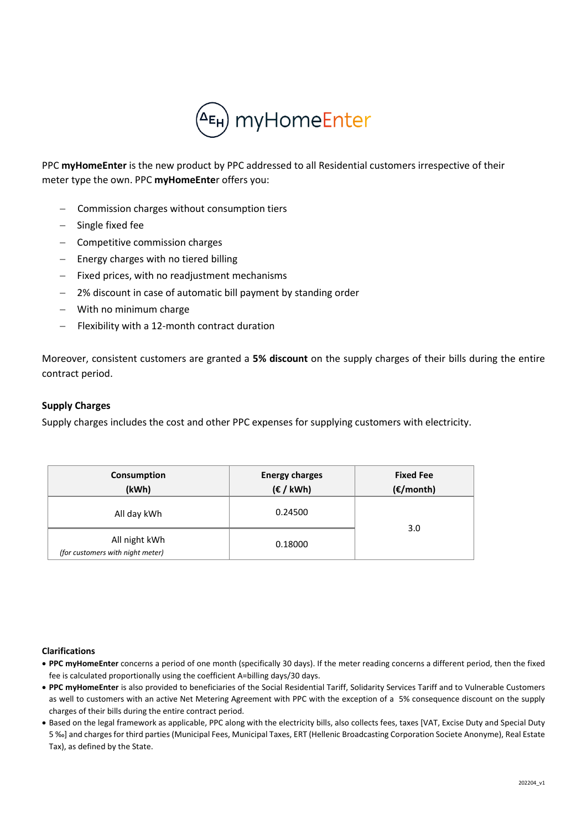

PPC **myHomeEnter** is the new product by PPC addressed to all Residential customers irrespective of their meter type the own. PPC **myHomeEnte**r offers you:

- − Commission charges without consumption tiers
- − Single fixed fee
- − Competitive commission charges
- − Energy charges with no tiered billing
- Fixed prices, with no readjustment mechanisms
- 2% discount in case of automatic bill payment by standing order
- − With no minimum charge
- Flexibility with a 12-month contract duration

Moreover, consistent customers are granted a **5% discount** on the supply charges of their bills during the entire contract period.

## **Supply Charges**

Supply charges includes the cost and other PPC expenses for supplying customers with electricity.

| Consumption                                       | <b>Energy charges</b> | <b>Fixed Fee</b>    |  |
|---------------------------------------------------|-----------------------|---------------------|--|
| (kWh)                                             | $(\epsilon /$ kWh)    | $(\epsilon$ /month) |  |
| All day kWh                                       | 0.24500               |                     |  |
| All night kWh<br>(for customers with night meter) | 0.18000               | 3.0                 |  |

## **Clarifications**

- **PPC myHomeEnter** concerns a period of one month (specifically 30 days). If the meter reading concerns a different period, then the fixed fee is calculated proportionally using the coefficient A=billing days/30 days.
- **PPC myHomeEnter** is also provided to beneficiaries of the Social Residential Tariff, Solidarity Services Tariff and to Vulnerable Customers as well to customers with an active Net Metering Agreement with PPC with the exception of a 5% consequence discount on the supply charges of their bills during the entire contract period.
- Based on the legal framework as applicable, PPC along with the electricity bills, also collects fees, taxes [VAT, Excise Duty and Special Duty 5 ‰] and charges for third parties (Municipal Fees, Municipal Taxes, ERT (Hellenic Broadcasting Corporation Societe Anonyme), Real Estate Tax), as defined by the State.